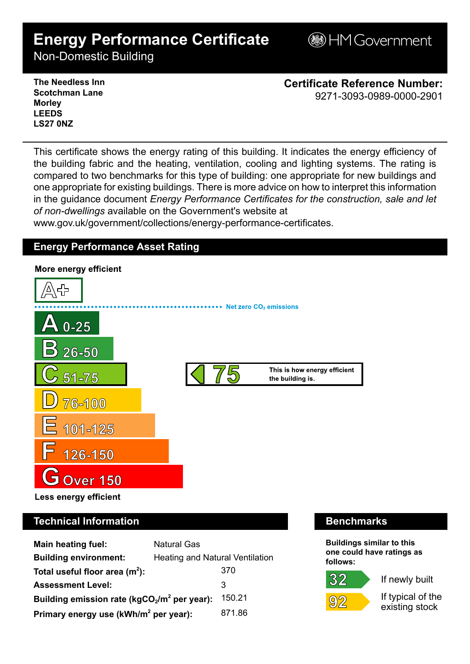# **Energy Performance Certificate**

**BHM Government** 

Non-Domestic Building

**The Needless Inn Scotchman Lane Morley LEEDS LS27 0NZ**

**Certificate Reference Number:** 9271-3093-0989-0000-2901

This certificate shows the energy rating of this building. It indicates the energy efficiency of the building fabric and the heating, ventilation, cooling and lighting systems. The rating is compared to two benchmarks for this type of building: one appropriate for new buildings and one appropriate for existing buildings. There is more advice on how to interpret this information in the guidance document *Energy Performance Certificates for the construction, sale and let of non-dwellings* available on the Government's website at

www.gov.uk/government/collections/energy-performance-certificates.

# **Energy Performance Asset Rating**



# **Technical Information Benchmarks**

| <b>Main heating fuel:</b>                         | <b>Natural Gas</b>                     |        |
|---------------------------------------------------|----------------------------------------|--------|
| <b>Building environment:</b>                      | <b>Heating and Natural Ventilation</b> |        |
| Total useful floor area $(m2)$ :                  |                                        | 370    |
| <b>Assessment Level:</b>                          |                                        | 3      |
| Building emission rate ( $kgCO2/m2$ per year):    |                                        | 150.21 |
| Primary energy use (kWh/m <sup>2</sup> per year): |                                        | 871.86 |

**Buildings similar to this one could have ratings as follows:**

# 32



If newly built

If typical of the existing stock